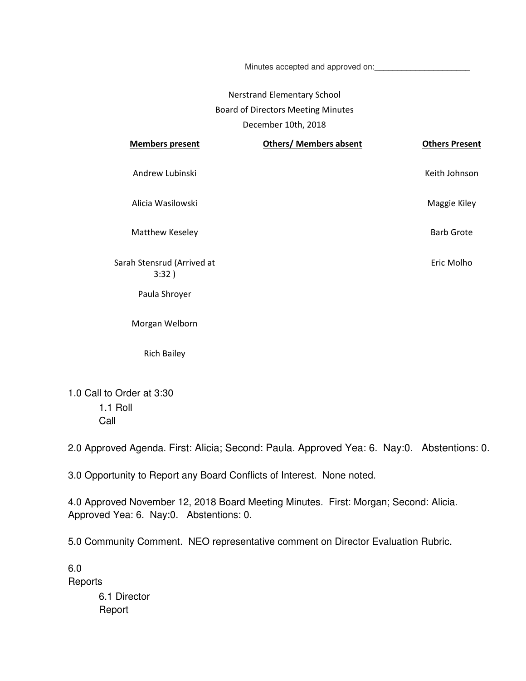Minutes accepted and approved on:

## Nerstrand Elementary School Board of Directors Meeting Minutes December 10th, 2018

| <b>Members present</b>              | <b>Others/ Members absent</b> | <b>Others Present</b> |
|-------------------------------------|-------------------------------|-----------------------|
| Andrew Lubinski                     |                               | Keith Johnson         |
| Alicia Wasilowski                   |                               | Maggie Kiley          |
| Matthew Keseley                     |                               | <b>Barb Grote</b>     |
| Sarah Stensrud (Arrived at<br>3:32) |                               | Eric Molho            |
| Paula Shroyer                       |                               |                       |
| Morgan Welborn                      |                               |                       |
| <b>Rich Bailey</b>                  |                               |                       |

1.0 Call to Order at 3:30 1.1 Roll Call

2.0 Approved Agenda. First: Alicia; Second: Paula. Approved Yea: 6. Nay:0. Abstentions: 0.

3.0 Opportunity to Report any Board Conflicts of Interest. None noted.

4.0 Approved November 12, 2018 Board Meeting Minutes. First: Morgan; Second: Alicia. Approved Yea: 6. Nay:0. Abstentions: 0.

5.0 Community Comment. NEO representative comment on Director Evaluation Rubric.

6.0 **Reports** 6.1 Director Report